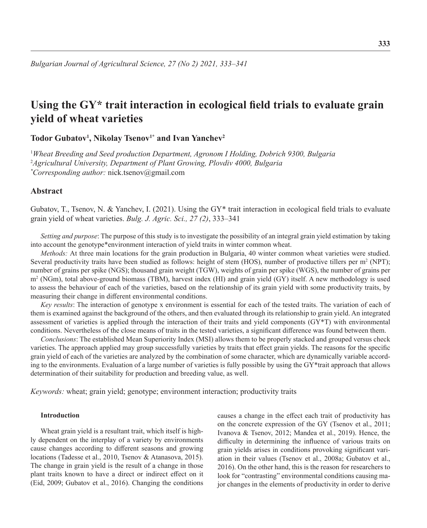# **Using the GY\* trait interaction in ecological field trials to evaluate grain yield of wheat varieties**

**Todor Gubatov<sup>1</sup> , Nikolay Tsenov1\* and Ivan Yanchev<sup>2</sup>**

1 *Wheat Breeding and Seed production Department, Agronom I Holding, Dobrich 9300, Bulgaria* 2 *Agricultural University, Department of Plant Growing, Plovdiv 4000, Bulgaria \* Corresponding author:* nick.tsenov@gmail.com

# **Abstract**

Gubatov, T., Tsenov, N. & Yanchev, I. (2021). Using the GY<sup>\*</sup> trait interaction in ecological field trials to evaluate grain yield of wheat varieties. *Bulg. J. Agric. Sci., 27 (2)*, 333–341

*Setting and purpose*: The purpose of this study is to investigate the possibility of an integral grain yield estimation by taking into account the genotype\*environment interaction of yield traits in winter common wheat.

*Methods:* At three main locations for the grain production in Bulgaria, 40 winter common wheat varieties were studied. Several productivity traits have been studied as follows: height of stem (HOS), number of productive tillers per  $m^2$  (NPT); number of grains per spike (NGS); thousand grain weight (TGW), weights of grain per spike (WGS), the number of grains per m<sup>2</sup> (NGm), total above-ground biomass (TBM), harvest index (HI) and grain yield (GY) itself. A new methodology is used to assess the behaviour of each of the varieties, based on the relationship of its grain yield with some productivity traits, by measuring their change in different environmental conditions.

*Key results*: The interaction of genotype x environment is essential for each of the tested traits. The variation of each of them is examined against the background of the others, and then evaluated through its relationship to grain yield. An integrated assessment of varieties is applied through the interaction of their traits and yield components (GY\*T) with environmental conditions. Nevertheless of the close means of traits in the tested varieties, a significant difference was found between them.

*Conclusions*: The established Mean Superiority Index (MSI) allows them to be properly stacked and grouped versus check varieties. The approach applied may group successfully varieties by traits that effect grain yields. The reasons for the specific grain yield of each of the varieties are analyzed by the combination of some character, which are dynamically variable according to the environments. Evaluation of a large number of varieties is fully possible by using the GY\*trait approach that allows determination of their suitability for production and breeding value, as well.

*Keywords:* wheat; grain yield; genotype; environment interaction; productivity traits

#### **Introduction**

Wheat grain yield is a resultant trait, which itself is highly dependent on the interplay of a variety by environments cause changes according to different seasons and growing locations (Tadesse et al., 2010, Tsenov & Atanasova, 2015). The change in grain yield is the result of a change in those plant traits known to have a direct or indirect effect on it (Eid, 2009; Gubatov et al., 2016). Changing the conditions

causes a change in the effect each trait of productivity has on the concrete expression of the GY (Tsenov et al., 2011; Ivanova & Tsenov, 2012; Mandea et al., 2019). Hence, the difficulty in determining the influence of various traits on grain yields arises in conditions provoking significant variation in their values (Tsenov et al., 2008a; Gubatov et al., 2016). On the other hand, this is the reason for researchers to look for "contrasting" environmental conditions causing major changes in the elements of productivity in order to derive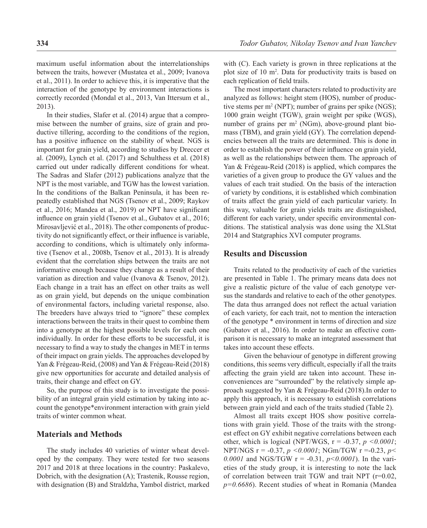maximum useful information about the interrelationships between the traits, however (Mustatea et al., 2009; Ivanova et al., 2011). In order to achieve this, it is imperative that the interaction of the genotype by environment interactions is correctly recorded (Mondal et al., 2013, Van Ittersum et al., 2013).

In their studies, Slafer et al. (2014) argue that a compromise between the number of grains, size of grain and productive tillering, according to the conditions of the region, has a positive influence on the stability of wheat. NGS is important for grain yield, according to studies by Dreccer et al. (2009), Lynch et al. (2017) and Schulthess et al. (2018) carried out under radically different conditions for wheat. The Sadras and Slafer (2012) publications analyze that the NPT is the most variable, and TGW has the lowest variation. In the conditions of the Balkan Peninsula, it has been repeatedly established that NGS (Tsenov et al., 2009; Raykov et al., 2016; Mandea et al., 2019) or NPT have significant influence on grain yield (Tsenov et al., Gubatov et al., 2016; Mirosavljević et al., 2018). The other components of productivity do not significantly effect, or their influence is variable, according to conditions, which is ultimately only informative (Tsenov et al., 2008b, Tsenov et al., 2013). It is already evident that the correlation ships between the traits are not informative enough because they change as a result of their variation as direction and value (Ivanova & Tsenov, 2012). Each change in a trait has an effect on other traits as well as on grain yield, but depends on the unique combination of environmental factors, including varietal response, also. The breeders have always tried to "ignore" these complex interactions between the traits in their quest to combine them into a genotype at the highest possible levels for each one individually. In order for these efforts to be successful, it is necessary to find a way to study the changes in MET in terms of their impact on grain yields. The approaches developed by Yan & Frégeau-Reid, (2008) and Yan & Frégeau-Reid (2018) give new opportunities for accurate and detailed analysis of traits, their change and effect on GY.

So, the purpose of this study is to investigate the possibility of an integral grain yield estimation by taking into account the genotype\*environment interaction with grain yield traits of winter common wheat.

#### **Materials and Methods**

The study includes 40 varieties of winter wheat developed by the company. They were tested for two seasons 2017 and 2018 at three locations in the country: Paskalevo, Dobrich, with the designation (A); Trastenik, Rousse region, with designation (B) and Straldzha, Yambol district, marked with (C). Each variety is grown in three replications at the plot size of 10 m<sup>2</sup> . Data for productivity traits is based on each replication of field trails.

The most important characters related to productivity are analyzed as follows: height stem (HOS), number of productive stems per  $m^2$  (NPT); number of grains per spike (NGS); 1000 grain weight (TGW), grain weight per spike (WGS), number of grains per  $m^2$  (NGm), above-ground plant biomass (TBM), and grain yield (GY). The correlation dependencies between all the traits are determined. This is done in order to establish the power of their influence on grain yield, as well as the relationships between them. The approach of Yan & Frégeau-Reid (2018) is applied, which compares the varieties of a given group to produce the GY values and the values of each trait studied. On the basis of the interaction of variety by conditions, it is established which combination of traits affect the grain yield of each particular variety. In this way, valuable for grain yields traits are distinguished, different for each variety, under specific environmental conditions. The statistical analysis was done using the XLStat 2014 and Statgraphics XVI computer programs.

#### **Results and Discussion**

Traits related to the productivity of each of the varieties are presented in Table 1. The primary means data does not give a realistic picture of the value of each genotype versus the standards and relative to each of the other genotypes. The data thus arranged does not reflect the actual variation of each variety, for each trait, not to mention the interaction of the genotype \* environment in terms of direction and size (Gubatov et al., 2016). In order to make an effective comparison it is necessary to make an integrated assessment that takes into account these effects.

Given the behaviour of genotype in different growing conditions, this seems very difficult, especially if all the traits affecting the grain yield are taken into account. These inconveniences are "surrounded" by the relatively simple approach suggested by Yan & Frégeau-Reid (2018).In order to apply this approach, it is necessary to establish correlations between grain yield and each of the traits studied (Table 2).

Almost all traits except HOS show positive correlations with grain yield. Those of the traits with the strongest effect on GY exhibit negative correlations between each other, which is logical (NPT/WGS,  $r = -0.37$ ,  $p \le 0.0001$ ; NPT/NGS r = -0.37, *p <0.0001*; NGm/TGW r =-0.23, *p<*  0.0001 and NGS/TGW  $r = -0.31$ ,  $p < 0.0001$ ). In the varieties of the study group, it is interesting to note the lack of correlation between trait TGW and trait NPT (r=0.02, *p=0.6686*). Recent studies of wheat in Romania (Mandea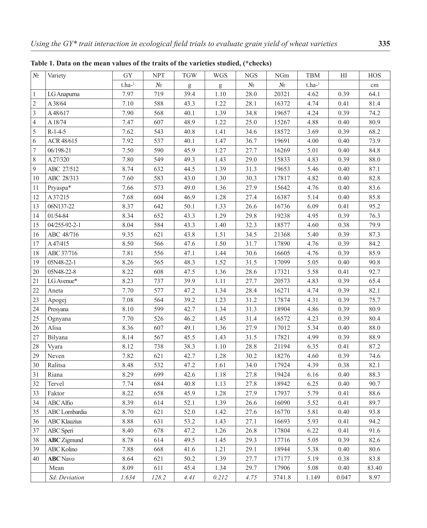| $N_{\! \! \underline{0}}$ | Variety             | <b>GY</b> | <b>NPT</b>            | <b>TGW</b>                                                                                                                                                                                                                                                                                                                                                                                                                     | <b>WGS</b>                                                                                                                                                                                                                                                                                                                                                                                                                     | <b>NGS</b>            | NGm                       | TBM        | H        | HOS      |
|---------------------------|---------------------|-----------|-----------------------|--------------------------------------------------------------------------------------------------------------------------------------------------------------------------------------------------------------------------------------------------------------------------------------------------------------------------------------------------------------------------------------------------------------------------------|--------------------------------------------------------------------------------------------------------------------------------------------------------------------------------------------------------------------------------------------------------------------------------------------------------------------------------------------------------------------------------------------------------------------------------|-----------------------|---------------------------|------------|----------|----------|
|                           |                     | $t.ha-1$  | $N_{\! \! \! \Omega}$ | $\mathbf{g}% _{T}=\mathbf{g}_{T}=\mathbf{g}_{T}=\mathbf{g}_{T}=\mathbf{g}_{T}=\mathbf{g}_{T}=\mathbf{g}_{T}=\mathbf{g}_{T}=\mathbf{g}_{T}=\mathbf{g}_{T}=\mathbf{g}_{T}=\mathbf{g}_{T}=\mathbf{g}_{T}=\mathbf{g}_{T}=\mathbf{g}_{T}=\mathbf{g}_{T}=\mathbf{g}_{T}=\mathbf{g}_{T}=\mathbf{g}_{T}=\mathbf{g}_{T}=\mathbf{g}_{T}=\mathbf{g}_{T}=\mathbf{g}_{T}=\mathbf{g}_{T}=\mathbf{g}_{T}=\mathbf{g}_{T}=\mathbf{g}_{T}=\math$ | $\mathbf{g}% _{T}=\mathbf{g}_{T}=\mathbf{g}_{T}=\mathbf{g}_{T}=\mathbf{g}_{T}=\mathbf{g}_{T}=\mathbf{g}_{T}=\mathbf{g}_{T}=\mathbf{g}_{T}=\mathbf{g}_{T}=\mathbf{g}_{T}=\mathbf{g}_{T}=\mathbf{g}_{T}=\mathbf{g}_{T}=\mathbf{g}_{T}=\mathbf{g}_{T}=\mathbf{g}_{T}=\mathbf{g}_{T}=\mathbf{g}_{T}=\mathbf{g}_{T}=\mathbf{g}_{T}=\mathbf{g}_{T}=\mathbf{g}_{T}=\mathbf{g}_{T}=\mathbf{g}_{T}=\mathbf{g}_{T}=\mathbf{g}_{T}=\math$ | $N_{\!\underline{0}}$ | $N\underline{\mathtt{o}}$ | t.ha- $^1$ |          | cm       |
| $\mathbf{1}$              | LG Anapurna         | 7.97      | 719                   | 39.4                                                                                                                                                                                                                                                                                                                                                                                                                           | $1.10\,$                                                                                                                                                                                                                                                                                                                                                                                                                       | 28.0                  | 20321                     | 4.62       | 0.39     | 64.1     |
| $\sqrt{2}$                | A38/64              | $7.10\,$  | 588                   | 43.3                                                                                                                                                                                                                                                                                                                                                                                                                           | 1.22                                                                                                                                                                                                                                                                                                                                                                                                                           | 28.1                  | 16372                     | 4.74       | 0.41     | 81.4     |
| $\overline{3}$            | A48/617             | 7.90      | 568                   | 40.1                                                                                                                                                                                                                                                                                                                                                                                                                           | 1.39                                                                                                                                                                                                                                                                                                                                                                                                                           | 34.8                  | 19657                     | 4.24       | 0.39     | 74.2     |
| $\overline{4}$            | A 18/74             | 7.47      | 607                   | 48.9                                                                                                                                                                                                                                                                                                                                                                                                                           | 1.22                                                                                                                                                                                                                                                                                                                                                                                                                           | 25.0                  | 15267                     | 4.88       | 0.40     | 80.9     |
| $\sqrt{5}$                | $R-1-4-5$           | 7.62      | 543                   | 40.8                                                                                                                                                                                                                                                                                                                                                                                                                           | 1.41                                                                                                                                                                                                                                                                                                                                                                                                                           | 34.6                  | 18572                     | 3.69       | 0.39     | 68.2     |
| 6                         | ACR 48/615          | 7.92      | 537                   | 40.1                                                                                                                                                                                                                                                                                                                                                                                                                           | 1.47                                                                                                                                                                                                                                                                                                                                                                                                                           | 36.7                  | 19691                     | 4.00       | 0.40     | 73.9     |
| $\boldsymbol{7}$          | 06/198-21           | 7.50      | 590                   | 45.9                                                                                                                                                                                                                                                                                                                                                                                                                           | 1.27                                                                                                                                                                                                                                                                                                                                                                                                                           | 27.7                  | 16269                     | 5.01       | 0.40     | 84.8     |
| $\,8\,$                   | A27/320             | 7.80      | 549                   | 49.3                                                                                                                                                                                                                                                                                                                                                                                                                           | 1.43                                                                                                                                                                                                                                                                                                                                                                                                                           | 29.0                  | 15833                     | 4.83       | 0.39     | $88.0\,$ |
| 9                         | ABC 27/512          | 8.74      | 632                   | 44.5                                                                                                                                                                                                                                                                                                                                                                                                                           | 1.39                                                                                                                                                                                                                                                                                                                                                                                                                           | 31.3                  | 19653                     | 5.46       | 0.40     | 87.1     |
| 10                        | ABC 28/313          | 7.60      | 583                   | 43.0                                                                                                                                                                                                                                                                                                                                                                                                                           | 1.30                                                                                                                                                                                                                                                                                                                                                                                                                           | 30.3                  | 17817                     | 4.82       | 0.40     | 82.8     |
| 11                        | Pryaspa*            | 7.66      | 573                   | 49.0                                                                                                                                                                                                                                                                                                                                                                                                                           | 1.36                                                                                                                                                                                                                                                                                                                                                                                                                           | 27.9                  | 15642                     | 4.76       | 0.40     | 83.6     |
| 12                        | A37/215             | 7.68      | 604                   | 46.9                                                                                                                                                                                                                                                                                                                                                                                                                           | 1.28                                                                                                                                                                                                                                                                                                                                                                                                                           | 27.4                  | 16387                     | 5.14       | 0.40     | 85.8     |
| 13                        | 06N137-22           | 8.37      | 642                   | 50.1                                                                                                                                                                                                                                                                                                                                                                                                                           | 1.33                                                                                                                                                                                                                                                                                                                                                                                                                           | 26.6                  | 16736                     | 6.09       | 0.41     | 95.2     |
| 14                        | 01/54-84            | 8.34      | 652                   | 43.3                                                                                                                                                                                                                                                                                                                                                                                                                           | 1.29                                                                                                                                                                                                                                                                                                                                                                                                                           | 29.8                  | 19238                     | 4.95       | 0.39     | 76.3     |
| 15                        | 04/255-92-2-1       | 8.04      | 584                   | 43.3                                                                                                                                                                                                                                                                                                                                                                                                                           | 1.40                                                                                                                                                                                                                                                                                                                                                                                                                           | 32.3                  | 18577                     | 4.60       | 0.38     | 79.9     |
| 16                        | ABC 48/716          | 9.35      | 621                   | 43.8                                                                                                                                                                                                                                                                                                                                                                                                                           | 1.51                                                                                                                                                                                                                                                                                                                                                                                                                           | 34.5                  | 21368                     | 5.40       | 0.39     | 87.3     |
| 17                        | A47/415             | 8.50      | 566                   | 47.6                                                                                                                                                                                                                                                                                                                                                                                                                           | 1.50                                                                                                                                                                                                                                                                                                                                                                                                                           | 31.7                  | 17890                     | 4.76       | 0.39     | 84.2     |
| 18                        | ABC 37/716          | 7.81      | 556                   | 47.1                                                                                                                                                                                                                                                                                                                                                                                                                           | 1.44                                                                                                                                                                                                                                                                                                                                                                                                                           | 30.6                  | 16605                     | 4.76       | 0.39     | 85.9     |
| 19                        | 05N48-22-1          | 8.26      | 565                   | 48.3                                                                                                                                                                                                                                                                                                                                                                                                                           | 1.52                                                                                                                                                                                                                                                                                                                                                                                                                           | 31.5                  | 17099                     | 5.05       | 0.40     | 90.8     |
| 20                        | 05N48-22-8          | 8.22      | 608                   | 47.5                                                                                                                                                                                                                                                                                                                                                                                                                           | 1.36                                                                                                                                                                                                                                                                                                                                                                                                                           | 28.6                  | 17321                     | 5.58       | 0.41     | 92.7     |
| 21                        | LG Avenue*          | 8.23      | 737                   | 39.9                                                                                                                                                                                                                                                                                                                                                                                                                           | 1.11                                                                                                                                                                                                                                                                                                                                                                                                                           | 27.7                  | 20573                     | 4.83       | 0.39     | 65.4     |
| 22                        | Aneta               | 7.70      | 577                   | 47.2                                                                                                                                                                                                                                                                                                                                                                                                                           | 1.34                                                                                                                                                                                                                                                                                                                                                                                                                           | 28.4                  | 16271                     | 4.74       | 0.39     | 82.1     |
| 23                        | Apogej              | 7.08      | 564                   | 39.2                                                                                                                                                                                                                                                                                                                                                                                                                           | 1.23                                                                                                                                                                                                                                                                                                                                                                                                                           | 31.2                  | 17874                     | 4.31       | 0.39     | 75.7     |
| 24                        | Presyana            | $8.10\,$  | 599                   | 42.7                                                                                                                                                                                                                                                                                                                                                                                                                           | 1.34                                                                                                                                                                                                                                                                                                                                                                                                                           | 31.3                  | 18904                     | 4.86       | 0.39     | 80.9     |
| 25                        | Ognyana             | 7.70      | 526                   | 46.2                                                                                                                                                                                                                                                                                                                                                                                                                           | 1.45                                                                                                                                                                                                                                                                                                                                                                                                                           | 31.4                  | 16572                     | 4.23       | 0.39     | 80.4     |
| 26                        | Alisa               | 8.36      | 607                   | 49.1                                                                                                                                                                                                                                                                                                                                                                                                                           | 1.36                                                                                                                                                                                                                                                                                                                                                                                                                           | 27.9                  | 17012                     | 5.34       | 0.40     | 88.0     |
| 27                        | Bilyana             | 8.14      | 567                   | 45.5                                                                                                                                                                                                                                                                                                                                                                                                                           | 1.43                                                                                                                                                                                                                                                                                                                                                                                                                           | 31.5                  | 17821                     | 4.99       | 0.39     | 88.9     |
| 28                        | Vyara               | 8.12      | 738                   | 38.3                                                                                                                                                                                                                                                                                                                                                                                                                           | $1.10\,$                                                                                                                                                                                                                                                                                                                                                                                                                       | 28.8                  | 21194                     | 6.35       | 0.41     | 87.2     |
| 29                        | Neven               | 7.82      | 621                   | 42.7                                                                                                                                                                                                                                                                                                                                                                                                                           | 1.28                                                                                                                                                                                                                                                                                                                                                                                                                           | 30.2                  | 18276                     | 4.60       | 0.39     | 74.6     |
| 30                        | Ralitsa             | 8.48      | 532                   | 47.2                                                                                                                                                                                                                                                                                                                                                                                                                           | 1.61                                                                                                                                                                                                                                                                                                                                                                                                                           | 34.0                  | 17924                     | 4.39       | 0.38     | 82.1     |
| 31                        | Riana               | 8.29      | 699                   | 42.6                                                                                                                                                                                                                                                                                                                                                                                                                           | 1.18                                                                                                                                                                                                                                                                                                                                                                                                                           | 27.8                  | 19424                     | 6.16       | $0.40\,$ | 88.3     |
| 32                        | Tervel              | 7.74      | 684                   | 40.8                                                                                                                                                                                                                                                                                                                                                                                                                           | 1.13                                                                                                                                                                                                                                                                                                                                                                                                                           | 27.8                  | 18942                     | 6.25       | 0.40     | 90.7     |
| 33                        | Faktor              | 8.22      | 658                   | 45.9                                                                                                                                                                                                                                                                                                                                                                                                                           | 1.28                                                                                                                                                                                                                                                                                                                                                                                                                           | 27.9                  | 17937                     | 5.79       | 0.41     | 88.6     |
| 34                        | ABC Alfio           | 8.39      | 614                   | 52.1                                                                                                                                                                                                                                                                                                                                                                                                                           | 1.39                                                                                                                                                                                                                                                                                                                                                                                                                           | 26.6                  | 16090                     | 5.52       | 0.41     | 89.7     |
| 35                        | ABC Lombardia       | 8.70      | 621                   | 52.0                                                                                                                                                                                                                                                                                                                                                                                                                           | 1.42                                                                                                                                                                                                                                                                                                                                                                                                                           | 27.6                  | 16770                     | 5.81       | 0.40     | 93.8     |
| 36                        | <b>ABC</b> Klauzius | 8.88      | 631                   | 53.2                                                                                                                                                                                                                                                                                                                                                                                                                           | 1.43                                                                                                                                                                                                                                                                                                                                                                                                                           | 27.1                  | 16693                     | 5.93       | 0.41     | 94.2     |
| 37                        | ABC Speri           | 8.40      | 678                   | 47.2                                                                                                                                                                                                                                                                                                                                                                                                                           | 1.26                                                                                                                                                                                                                                                                                                                                                                                                                           | 26.8                  | 17804                     | 6.22       | 0.41     | 91.6     |
| 38                        | <b>ABC</b> Zigmund  | 8.78      | 614                   | 49.5                                                                                                                                                                                                                                                                                                                                                                                                                           | 1.45                                                                                                                                                                                                                                                                                                                                                                                                                           | 29.3                  | 17716                     | 5.05       | 0.39     | 82.6     |
| 39                        | <b>ABC</b> Kolino   | 7.88      | 668                   | 41.6                                                                                                                                                                                                                                                                                                                                                                                                                           | 1.21                                                                                                                                                                                                                                                                                                                                                                                                                           | 29.1                  | 18944                     | 5.38       | 0.40     | $80.6\,$ |
| 40                        | <b>ABC</b> Navo     | 8.64      | 621                   | 50.2                                                                                                                                                                                                                                                                                                                                                                                                                           | 1.39                                                                                                                                                                                                                                                                                                                                                                                                                           | 27.7                  | 17177                     | 5.19       | 0.38     | 83.8     |
|                           | Mean                | 8.09      | 611                   | 45.4                                                                                                                                                                                                                                                                                                                                                                                                                           | 1.34                                                                                                                                                                                                                                                                                                                                                                                                                           | 29.7                  | 17906                     | 5.08       | 0.40     | 83.40    |
|                           | Sd. Deviation       | 1.634     | 128.2                 | 4.41                                                                                                                                                                                                                                                                                                                                                                                                                           | 0.212                                                                                                                                                                                                                                                                                                                                                                                                                          | 4.75                  | 3741.8                    | 1.149      | 0.047    | 8.97     |

**Table 1. Data on the mean values of the traits of the varieties studied, (\*checks)**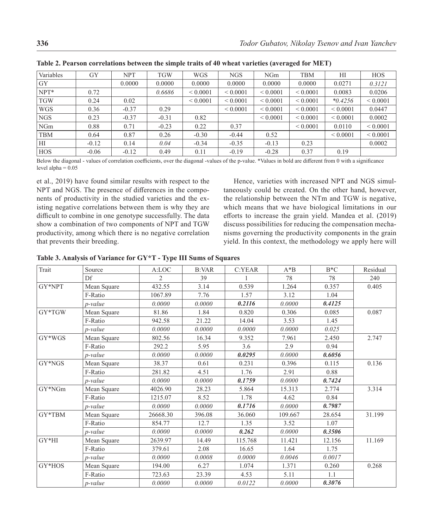| Variables  | <b>GY</b> | <b>NPT</b> | <b>TGW</b> | <b>WGS</b>    | <b>NGS</b>    | <b>NGm</b>    | <b>TBM</b>    | HI           | <b>HOS</b>   |
|------------|-----------|------------|------------|---------------|---------------|---------------|---------------|--------------|--------------|
| GY         |           | 0.0000     | 0.0000     | 0.0000        | 0.0000        | 0.0000        | 0.0000        | 0.0271       | 0.3121       |
| $NPT^*$    | 0.72      |            | 0.6686     | ${}_{0.0001}$ | ${}_{0.0001}$ | ${}_{0.0001}$ | ${}< 0.0001$  | 0.0083       | 0.0206       |
| <b>TGW</b> | 0.24      | 0.02       |            | ${}< 0.0001$  | ${}_{0.0001}$ | ${}_{0.0001}$ | ${}_{0.0001}$ | $*0.4256$    | ${}< 0.0001$ |
| <b>WGS</b> | 0.36      | $-0.37$    | 0.29       |               | ${}_{0.0001}$ | ${}_{0.0001}$ | ${}< 0.0001$  | ${}< 0.0001$ | 0.0447       |
| <b>NGS</b> | 0.23      | $-0.37$    | $-0.31$    | 0.82          |               | ${}_{0.0001}$ | ${}_{0.0001}$ | ${}< 0.0001$ | 0.0002       |
| NGm        | 0.88      | 0.71       | $-0.23$    | 0.22          | 0.37          |               | ${}_{0.0001}$ | 0.0110       | ${}< 0.0001$ |
| <b>TBM</b> | 0.64      | 0.87       | 0.26       | $-0.30$       | $-0.44$       | 0.52          |               | ${}< 0.0001$ | ${}< 0.0001$ |
| HI         | $-0.12$   | 0.14       | 0.04       | $-0.34$       | $-0.35$       | $-0.13$       | 0.23          |              | 0.0002       |
| <b>HOS</b> | $-0.06$   | $-0.12$    | 0.49       | 0.11          | $-0.19$       | $-0.28$       | 0.37          | 0.19         |              |

**Table 2. Pearson correlations between the simple traits of 40 wheat varieties (averaged for MET)**

Below the diagonal - values of correlation coefficients, over the diagonal -values of the p-value. \*Values in bold are different from 0 with a significance level alpha  $= 0.05$ 

et al., 2019) have found similar results with respect to the NPT and NGS. The presence of differences in the components of productivity in the studied varieties and the existing negative correlations between them is why they are difficult to combine in one genotype successfully. The data show a combination of two components of NPT and TGW productivity, among which there is no negative correlation that prevents their breeding.

Hence, varieties with increased NPT and NGS simultaneously could be created. On the other hand, however, the relationship between the NTm and TGW is negative, which means that we have biological limitations in our efforts to increase the grain yield. Mandea et al. (2019) discuss possibilities for reducing the compensation mechanisms governing the productivity components in the grain yield. In this context, the methodology we apply here will

| Table 3. Analysis of Variance for GY*T - Type III Sums of Squares |  |  |  |
|-------------------------------------------------------------------|--|--|--|
|-------------------------------------------------------------------|--|--|--|

| Trait    | Source          | A:LOC          | <b>B:VAR</b> | C:YEAR  | $A^*B$  | $B*C$  | Residual |  |
|----------|-----------------|----------------|--------------|---------|---------|--------|----------|--|
|          | Df              | $\mathfrak{D}$ | 39           |         | 78      | 78     | 240      |  |
| GY*NPT   | Mean Square     | 432.55         | 3.14         | 0.539   | 1.264   | 0.357  | 0.405    |  |
|          | F-Ratio         | 1067.89        | 7.76         | 1.57    | 3.12    | 1.04   |          |  |
|          | p-value         | 0.0000         | 0.0000       | 0.2116  | 0.0000  | 0.4125 |          |  |
| GY*TGW   | Mean Square     | 81.86          | 1.84         | 0.820   | 0.306   | 0.085  | 0.087    |  |
|          | F-Ratio         | 942.58         | 21.22        | 14.04   | 3.53    | 1.45   |          |  |
|          | p-value         | 0.0000         | 0.0000       | 0.0000  | 0.0000  | 0.025  |          |  |
| $GY*WGS$ | Mean Square     | 802.56         | 16.34        | 9.352   | 7.961   | 2.450  | 2.747    |  |
|          | F-Ratio         | 292.2          | 5.95         | 3.6     | 2.9     | 0.94   |          |  |
|          | <i>p</i> -value | 0.0000         | 0.0000       | 0.0295  | 0.0000  | 0.6056 |          |  |
| GY*NGS   | Mean Square     | 38.37          | 0.61         | 0.231   | 0.396   | 0.115  | 0.136    |  |
|          | F-Ratio         | 281.82         | 4.51         | 1.76    | 2.91    | 0.88   |          |  |
|          | p-value         | 0.0000         | 0.0000       | 0.1759  | 0.0000  | 0.7424 |          |  |
| GY*NGm   | Mean Square     | 4026.90        | 28.23        | 5.864   | 15.313  | 2.774  | 3.314    |  |
|          | F-Ratio         | 1215.07        | 8.52         | 1.78    | 4.62    | 0.84   |          |  |
|          | p-value         | 0.0000         | 0.0000       | 0.1716  | 0.0000  | 0.7987 |          |  |
| GY*TBM   | Mean Square     | 26668.30       | 396.08       | 36.060  | 109.667 | 28.654 | 31.199   |  |
|          | F-Ratio         | 854.77         | 12.7         | 1.35    | 3.52    | 1.07   |          |  |
|          | p-value         | 0.0000         | 0.0000       | 0.262   | 0.0000  | 0.3506 |          |  |
| $GY*HI$  | Mean Square     | 2639.97        | 14.49        | 115.768 | 11.421  | 12.156 | 11.169   |  |
|          | F-Ratio         | 379.61         | 2.08         | 16.65   | 1.64    | 1.75   |          |  |
|          | p-value         | 0.0000         | 0.0008       | 0.0000  | 0.0046  | 0.0017 |          |  |
| GY*HOS   | Mean Square     | 194.00         | 6.27         | 1.074   | 1.371   | 0.260  | 0.268    |  |
|          | F-Ratio         | 723.63         | 23.39        | 4.53    | 5.11    | 1.1    |          |  |
|          | p-value         | 0.0000         | 0.0000       | 0.0122  | 0.0000  | 0.3076 |          |  |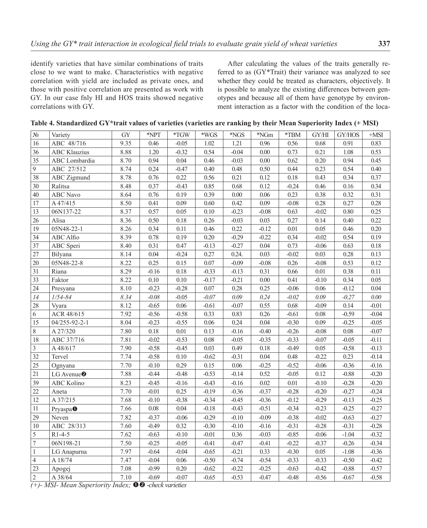identify varieties that have similar combinations of traits close to we want to make. Characteristics with negative correlation with yield are included as private ones, and those with positive correlation are presented as work with GY. In our case fnly HI and HOS traits showed negative correlations with GY.

After calculating the values of the traits generally referred to as (GY\*Trait) their variance was analyzed to see whether they could be treated as characters, objectively. It is possible to analyze the existing differences between genotypes and because all of them have genotype by environment interaction as a factor with the condition of the loca-

| $\rm N_{\!\textrm{0}}$ | Variety                           | <b>GY</b> | *NPT              | $*TGW$   | $*_{\text{WGS}}$ | $^*{\rm NGS}$ | *NGm     | $*TBM$   | GY/HI   | GY/HOS   | $+MSI$   |
|------------------------|-----------------------------------|-----------|-------------------|----------|------------------|---------------|----------|----------|---------|----------|----------|
| 16                     | ABC 48/716                        | 9.35      | 0.46              | $-0.05$  | $1.02\,$         | 1.21          | 0.96     | 0.56     | 0.68    | 0.91     | 0.83     |
| 36                     | <b>ABC</b> Klauzius               | 8.88      | 1.20              | $-0.32$  | 0.54             | $-0.04$       | $0.00\,$ | 0.73     | 0.21    | 1.08     | 0.53     |
| 35                     | ABC Lombardia                     | 8.70      | 0.94              | 0.04     | 0.46             | $-0.03$       | 0.00     | 0.62     | 0.20    | 0.94     | 0.45     |
| 9                      | ABC 27/512                        | 8.74      | 0.24              | $-0.47$  | 0.40             | 0.48          | 0.50     | 0.44     | 0.23    | 0.54     | 0.40     |
| 38                     | <b>ABC</b> Zigmund                | 8.78      | 0.76              | 0.22     | 0.56             | 0.21          | 0.12     | $0.18\,$ | 0.43    | 0.34     | 0.37     |
| 30                     | Ralitsa                           | 8.48      | 0.37              | $-0.43$  | 0.85             | 0.68          | 0.12     | $-0.24$  | 0.46    | 0.16     | 0.34     |
| $40\,$                 | <b>ABC</b> Navo                   | 8.64      | 0.76              | 0.19     | 0.39             | 0.00          | 0.06     | 0.23     | 0.38    | 0.32     | 0.31     |
| 17                     | A 47/415                          | 8.50      | 0.41              | 0.09     | 0.60             | 0.42          | 0.09     | $-0.08$  | 0.28    | 0.27     | 0.28     |
| 13                     | 06N137-22                         | 8.37      | 0.57              | 0.05     | 0.10             | $-0.23$       | $-0.08$  | 0.63     | $-0.02$ | 0.80     | 0.25     |
| 26                     | Alisa                             | 8.36      | 0.50              | 0.18     | 0.26             | $-0.03$       | 0.03     | 0.27     | 0.14    | 0.40     | 0.22     |
| 19                     | $05N48 - 22 - 1$                  | 8.26      | 0.34              | 0.11     | 0.46             | 0.22          | $-0.12$  | 0.01     | 0.05    | 0.46     | 0.20     |
| 34                     | ABC Alfio                         | 8.39      | 0.78              | 0.19     | 0.20             | $-0.29$       | $-0.22$  | 0.34     | $-0.02$ | 0.54     | 0.19     |
| 37                     | ABC Speri                         | 8.40      | 0.31              | 0.47     | $-0.13$          | $-0.27$       | 0.04     | 0.73     | $-0.06$ | 0.63     | 0.18     |
| 27                     | Bilyana                           | 8.14      | 0.04              | $-0.24$  | 0.27             | 0.24.         | 0.03     | $-0.02$  | 0.03    | 0.28     | 0.13     |
| 20                     | 05N48-22-8                        | 8.22      | 0.25              | 0.15     | 0.07             | $-0.09$       | $-0.08$  | 0.26     | $-0.08$ | 0.53     | 0.12     |
| 31                     | Riana                             | 8.29      | $-0.16$           | 0.18     | $-0.33$          | $-0.13$       | 0.31     | 0.66     | 0.01    | 0.38     | 0.11     |
| 33                     | Faktor                            | 8.22      | 0.10              | 0.10     | $-0.17$          | $-0.21$       | $0.00\,$ | 0.41     | $-0.10$ | 0.34     | 0.05     |
| 24                     | Presyana                          | 8.10      | $-0.23$           | $-0.28$  | 0.07             | 0.28          | 0.25     | $-0.06$  | 0.06    | $-0.12$  | 0.04     |
| 14                     | $1/54 - 84$                       | 8.34      | $-0.08$           | $-0.05$  | $-0.07$          | 0.09          | 0.24     | $-0.02$  | 0.09    | $-0.27$  | $0.00\,$ |
| 28                     | Vyara                             | 8.12      | $-0.65$           | 0.06     | $-0.61$          | $-0.07$       | 0.55     | 0.68     | $-0.09$ | 0.14     | $-0.01$  |
| $\sqrt{6}$             | ACR 48/615                        | 7.92      | $-0.56$           | $-0.58$  | 0.33             | 0.83          | 0.26     | $-0.61$  | 0.08    | $-0.59$  | $-0.04$  |
| 15                     | 04/255-92-2-1                     | 8.04      | $-0.23$           | $-0.55$  | 0.06             | 0.24          | 0.04     | $-0.30$  | 0.09    | $-0.25$  | $-0.05$  |
| $\,$ $\,$              | A 27/320                          | 7.80      | $0.\overline{18}$ | $0.01\,$ | 0.13             | $-0.16$       | $-0.40$  | $-0.26$  | $-0.08$ | $0.08\,$ | $-0.07$  |
| 18                     | ABC 37/716                        | 7.81      | $-0.02$           | $-0.53$  | 0.08             | $-0.05$       | $-0.35$  | $-0.33$  | $-0.07$ | $-0.05$  | $-0.11$  |
| $\mathfrak{Z}$         | A48/617                           | 7.90      | $-0.58$           | $-0.45$  | 0.03             | 0.49          | $0.18\,$ | $-0.49$  | 0.05    | $-0.58$  | $-0.13$  |
| 32                     | Tervel                            | 7.74      | $-0.58$           | $0.10\,$ | $-0.62$          | $-0.31$       | 0.04     | 0.48     | $-0.22$ | 0.23     | $-0.14$  |
| $\overline{25}$        | Ognyana                           | 7.70      | $-0.10$           | 0.29     | 0.15             | 0.06          | $-0.25$  | $-0.52$  | $-0.06$ | $-0.36$  | $-0.16$  |
| $\overline{21}$        | LG Avenue <sup><sup>0</sup></sup> | 7.88      | $-0.44$           | $-0.48$  | $-0.53$          | $-0.14$       | 0.52     | $-0.05$  | 0.12    | $-0.88$  | $-0.20$  |
| 39                     | <b>ABC</b> Kolino                 | 8.23      | $-0.45$           | $-0.16$  | $-0.43$          | $-0.16$       | 0.02     | 0.01     | $-0.10$ | $-0.28$  | $-0.20$  |
| 22                     | Aneta                             | 7.70      | $-0.01$           | 0.25     | $-0.19$          | $-0.36$       | $-0.37$  | $-0.28$  | $-0.20$ | $-0.27$  | $-0.24$  |
| 12                     | A 37/215                          | 7.68      | $-0.10$           | $-0.38$  | $-0.34$          | $-0.45$       | $-0.36$  | $-0.12$  | $-0.29$ | $-0.13$  | $-0.25$  |
| 11                     | Pryaspa <sup>O</sup>              | 7.66      | 0.08              | 0.04     | $-0.18$          | $-0.43$       | $-0.51$  | $-0.34$  | $-0.23$ | $-0.25$  | $-0.27$  |
| 29                     | Neven                             | 7.82      | $-0.37$           | $-0.06$  | $-0.29$          | $-0.10$       | $-0.09$  | $-0.38$  | $-0.02$ | $-0.63$  | $-0.27$  |
| 10                     | ABC 28/313                        | 7.60      | $-0.49$           | 0.32     | $-0.30$          | $-0.10$       | $-0.16$  | $-0.31$  | $-0.28$ | $-0.31$  | $-0.28$  |
| $\overline{5}$         | $R1-4-5$                          | 7.62      | $-0.63$           | $-0.10$  | $-0.01$          | 0.36          | $-0.03$  | $-0.85$  | $-0.06$ | $-1.04$  | $-0.32$  |
| $\boldsymbol{7}$       | 06N198-21                         | 7.50      | $-0.25$           | $-0.05$  | $-0.41$          | $-0.47$       | $-0.41$  | $-0.22$  | $-0.37$ | $-0.26$  | $-0.34$  |
| $\mathbf{1}$           | LG Anapurna                       | 7.97      | $-0.64$           | $-0.04$  | $-0.65$          | $-0.21$       | 0.33     | $-0.30$  | 0.05    | $-1.08$  | $-0.36$  |
| $\overline{4}$         | A 18/74                           | 7.47      | $-0.04$           | 0.06     | $-0.50$          | $-0.74$       | $-0.54$  | $-0.33$  | $-0.33$ | $-0.50$  | $-0.42$  |
| 23                     | Apogej                            | 7.08      | $-0.99$           | 0.20     | $-0.62$          | $-0.22$       | $-0.25$  | $-0.63$  | $-0.42$ | $-0.88$  | $-0.57$  |
| $\sqrt{2}$             | A 38/64                           | 7.10      | $-0.69$           | $-0.07$  | $-0.65$          | $-0.53$       | $-0.47$  | $-0.48$  | $-0.56$ | $-0.67$  | $-0.58$  |
|                        |                                   |           |                   |          |                  |               |          |          |         |          |          |

**Table 4. Standardized GY\*trait values of varieties (varieties are ranking by their Mean Superiority Index (+ MSI)**

*(+)- MSI- Mean Superiority Index;*  $\mathbf{\odot} \mathbf{\odot}$  -*check varieties*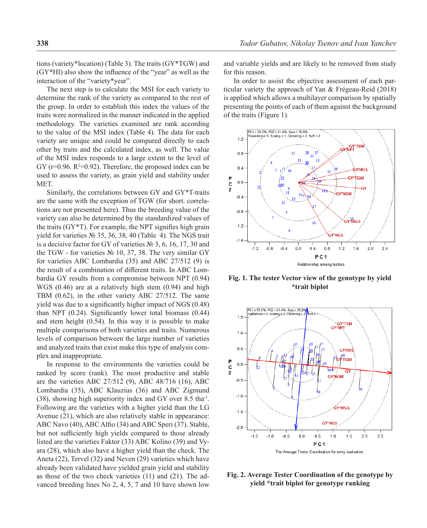tions (variety\*location) (Table 3). The traits (GY\*TGW) and (GY\*HI) also show the influence of the "year" as well as the interaction of the "variety\*year".

The next step is to calculate the MSI for each variety to determine the rank of the variety as compared to the rest of the group. In order to establish this index the values of the traits were normalized in the manner indicated in the applied methodology. The varieties examined are rank according to the value of the MSI index (Table 4). The data for each variety are unique and could be compared directly to each other by traits and the calculated index, as well. The value of the MSI index responds to a large extent to the level of  $GY$  (r=0.96.  $R^2=0.92$ ). Therefore, the proposed index can be used to assess the variety, as grain yield and stability under MET.

Similarly, the correlations between GY and GY\*T-traits are the same with the exception of TGW (for short. correlations are not presented here). Thus the breeding value of the variety can also be determined by the standardized values of the traits (GY\*T). For example, the NPT signifies high grain yield for varieties № 35, 36, 38, 40 (Table 4). The NGS trait is a decisive factor for GY of varieties № 3, 6, 16, 17, 30 and the TGW - for varieties № 10, 37, 38. The very similar GY for varieties ABC Lombardia (35) and ABC 27/512 (9) is the result of a combination of different traits. In ABC Lombardia GY results from a compromise between NPT (0.94) WGS (0.46) are at a relatively high stem (0.94) and high TBM (0.62), in the other variety ABC 27/512. The same yield was due to a significantly higher impact of NGS (0.48) than NPT (0.24). Significantly lower total biomass (0.44) and stem height (0.54). In this way it is possible to make multiple comparisons of both varieties and traits. Numerous levels of comparison between the large number of varieties and analyzed traits that exist make this type of analysis complex and inappropriate.

In response to the environments the varieties could be ranked by score (rank). The most productive and stable are the varieties ABC 27/512 (9), ABC 48/716 (16), ABC Lombardia (35), ABC Klauzius (36) and ABC Zigmund (38), showing high superiority index and GY over 8.5 tha-1. Following are the varieties with a higher yield than the LG Avenue (21), which are also relatively stable in appearance: ABC Navo (40), ABC Alfio (34) and ABC Speri (37). Stable, but not sufficiently high yields compared to those already listed are the varieties Faktor (33) ABC Kolino (39) and Vyara (28), which also have a higher yield than the check. The Aneta (22), Tervel (32) and Neven (29) varieties which have already been validated have yielded grain yield and stability as those of the two check varieties (11) and (21). The advanced breeding lines No 2, 4, 5, 7 and 10 have shown low

and variable yields and are likely to be removed from study for this reason.

In order to assist the objective assessment of each particular variety the approach of Yan & Frégeau-Reid (2018) is applied which allows a multilayer comparison by spatially presenting the points of each of them against the background of the traits (Figure 1).



**Fig. 1. The tester Vector view of the genotype by yield \*trait biplot**



**Fig. 2. Average Tester Coordination of the genotype by yield \*trait biplot for genotype ranking**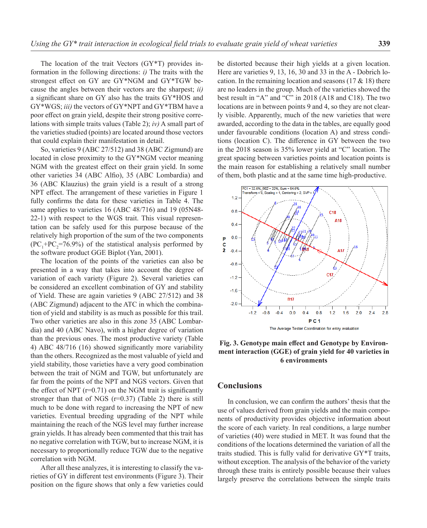The location of the trait Vectors (GY\*T) provides information in the following directions: *i)* The traits with the strongest effect on GY are GY\*NGM and GY\*TGW because the angles between their vectors are the sharpest; *ii)* a significant share on GY also has the traits GY\*HOS and GY\*WGS; *iii)* the vectors of GY\*NPT and GY\*TBM have a poor effect on grain yield, despite their strong positive correlations with simple traits values (Table 2); *iv)* A small part of the varieties studied (points) are located around those vectors that could explain their manifestation in detail.

So, varieties 9 (ABC 27/512) and 38 (ABC Zigmund) are located in close proximity to the GY\*NGM vector meaning NGM with the greatest effect on their grain yield. In some other varieties 34 (ABC Alfio), 35 (ABC Lombardia) and 36 (ABC Klauzius) the grain yield is a result of a strong NPT effect. The arrangement of these varieties in Figure 1 fully confirms the data for these varieties in Table 4. The same applies to varieties 16 (ABC 48/716) and 19 (05N48- 22-1) with respect to the WGS trait. This visual representation can be safely used for this purpose because of the relatively high proportion of the sum of the two components  $(PC<sub>1</sub>+PC<sub>2</sub>=76.9%)$  of the statistical analysis performed by the software product GGE Biplot (Yan, 2001).

The location of the points of the varieties can also be presented in a way that takes into account the degree of variation of each variety (Figure 2). Several varieties can be considered an excellent combination of GY and stability of Yield. These are again varieties 9 (ABC 27/512) and 38 (ABC Zigmund) adjacent to the ATC in which the combination of yield and stability is as much as possible for this trail. Two other varieties are also in this zone 35 (ABC Lombardia) and 40 (ABC Navo), with a higher degree of variation than the previous ones. The most productive variety (Table 4) ABC 48/716 (16) showed significantly more variability than the others. Recognized as the most valuable of yield and yield stability, those varieties have a very good combination between the trait of NGM and TGW, but unfortunately are far from the points of the NPT and NGS vectors. Given that the effect of NPT  $(r=0.71)$  on the NGM trait is significantly stronger than that of NGS  $(r=0.37)$  (Table 2) there is still much to be done with regard to increasing the NPT of new varieties. Eventual breeding upgrading of the NPT while maintaining the reach of the NGS level may further increase grain yields. It has already been commented that this trait has no negative correlation with TGW, but to increase NGM, it is necessary to proportionally reduce TGW due to the negative correlation with NGM.

After all these analyzes, it is interesting to classify the varieties of GY in different test environments (Figure 3). Their position on the figure shows that only a few varieties could be distorted because their high yields at a given location. Here are varieties 9, 13, 16, 30 and 33 in the A - Dobrich location. In the remaining location and seasons  $(17 \& 18)$  there are no leaders in the group. Much of the varieties showed the best result in "A" and "C" in 2018 (A18 and C18). The two locations are in between points 9 and 4, so they are not clearly visible. Apparently, much of the new varieties that were awarded, according to the data in the tables, are equally good under favourable conditions (location A) and stress conditions (location C). The difference in GY between the two in the 2018 season is 35% lower yield at "C" location. The great spacing between varieties points and location points is the main reason for establishing a relatively small number of them, both plastic and at the same time high-productive.



**Fig. 3. Genotype main effect and Genotype by Environment interaction (GGE) of grain yield for 40 varieties in 6 environments**

# **Conclusions**

In conclusion, we can confirm the authors' thesis that the use of values derived from grain yields and the main components of productivity provides objective information about the score of each variety. In real conditions, a large number of varieties (40) were studied in MET. It was found that the conditions of the locations determined the variation of all the traits studied. This is fully valid for derivative GY\*T traits, without exception. The analysis of the behavior of the variety through these traits is entirely possible because their values largely preserve the correlations between the simple traits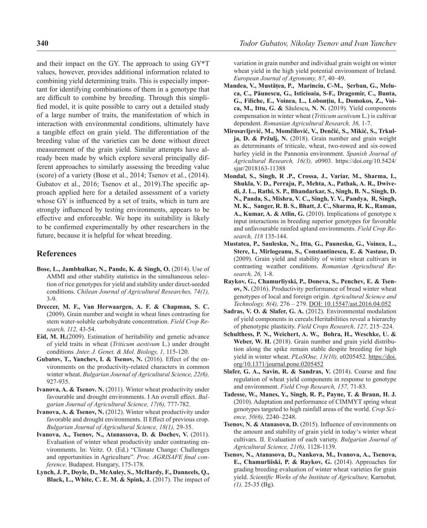and their impact on the GY. The approach to using GY\*T values, however, provides additional information related to combining yield determining traits. This is especially important for identifying combinations of them in a genotype that are difficult to combine by breeding. Through this simplified model, it is quite possible to carry out a detailed study of a large number of traits, the manifestation of which in interaction with environmental conditions, ultimately have a tangible effect on grain yield. The differentiation of the breeding value of the varieties can be done without direct measurement of the grain yield. Similar attempts have already been made by which explore several principally different approaches to similarly assessing the breeding value (score) of a variety (Bose et al., 2014; Tsenov et al., (2014). Gubatov et al., 2016; Tsenov et al., 2019).The specific approach applied here for a detailed assessment of a variety whose GY is influenced by a set of traits, which in turn are strongly influenced by testing environments, appears to be effective and enforceable. We hope its suitability is likely to be confirmed experimentally by other researchers in the future, because it is helpful for wheat breeding.

### **References**

- **Bose, L., Jambhulkar, N., Pande, K. & Singh, O.** (2014). Use of AMMI and other stability statistics in the simultaneous selection of rice genotypes for yield and stability under direct-seeded conditions. *Chilean Journal of Agricultural Researches, 74(1),* 3-9.
- **Dreccer, M. F., Van Herwaargen, A. F. & Chapman, S. C.**  (2009). Grain number and weight in wheat lines contrasting for stem water-soluble carbohydrate concentration. *Field Crop Research, 112,* 43-54.
- **Eid, M. H.**(2009). Estimation of heritability and genetic advance of yield traits in wheat (*Triticum aestivum* L.) under drought conditions .*Inter. J. Genet. & Mol. Biology, 1,* 115-120.
- **Gubatov, T., Yanchev, I. & Tsenov, N.** (2016). Effect of the environments on the productivity-related characters in common winter wheat. *Bulgarian Journal of Agricultural Science, 22(6),* 927-935.
- **Ivanova, A. & Tsenov. N.** (2011). Winter wheat productivity under favourable and drought environments. I An overall effect. *Bulgarian Journal of Agricultural Science, 17(6),* 777-782.
- **Ivanova, A. & Tsenov, N.** (2012). Winter wheat productivity under favorable and drought environments. II Effect of previous crop. *Bulgarian Journal of Agricultural Science, 18(1),* 29-35.
- **Ivanova, A., Tsenov, N., Atanassova, D. & Dochev, V.** (2011). Evaluation of winter wheat productivity under contrasting environments. In: Veitz. O. (Ed.) "Climate Change: Challenges and opportunities in Agriculture". *Proc. AGRISAFE final conference*. Budapest. Hungary, 175-178.
- **Lynch, J. P., Doyle, D., McAuley, S., McHardy, F., Danneels, Q., Black, L., White, C. E. M. & Spink, J.** (2017). The impact of

variation in grain number and individual grain weight on winter wheat yield in the high yield potential environment of Ireland. *European Journal of Agronomy, 87*, 40–49.

- **Mandea, V., Mustățea, P., Marinciu, C-M., Şerban, G., Meluca, C., Păunescu, G., Isticioaia, S-F., Dragomir, C., Bunta, G., Filiche, E., Voinea, L., Lobonţiu, I., Domokos, Z., Voica, M., Ittu, G. &** Săulescu**, N. N.** (2019). Yield components compensation in winter wheat (*Triticum aestivum* L.) is cultivar dependent. *Romanian Agricultural Research, 36,* 1-7.
- **Mirosavljević, M., Momčilović, V., Denčić, S., Mikić, S., Trkulja, D. & Pržulj, N.** (2018). Grain number and grain weight as determinants of triticale, wheat, two-rowed and six-rowed barley yield in the Pannonia environment. *Spanish Journal of Agricultural Research, 16(3),* e0903. https://doi.org/10.5424/ sjar/2018163-11388
- **Mondal, S., Singh, R .P., Crossa, J., Variar, M., Sharma, I., Shukla, V. D., Perraju, P., Mehta, A., Pathak, A. R., Dwivedi, J. L., Rathi, S. P., Bhandarkar, S., Singh, B. N., Singh, D. N., Panda, S., Mishra, V. C., Singh, Y. V., Pandya, R, Singh, M. K., Sanger, R. B. S., Bhatt, J. C., Sharma, R. K., Raman, A., Kumar, A. & Atlin, G.** (2010). Implications of genotype x input interactions in breeding superior genotypes for favorable and unfavourable rainfed upland environments. *Field Crop Research, 118* 135-144.
- **Mustatea, P., Saulesku, N., Ittu, G., Paunesku, G., Voinea, L., Stere, I., Mirlogeanu, S., Constantinescu, E. & Nastase, D.**  (2009). Grain yield and stability of winter wheat cultivars in contrasting weather conditions. *Romanian Agricultural Research, 26,* 1-8.
- **Raykov, G., Chamurliyski, P., Doneva, S., Penchev, E. & Tsenov, N.** (2016). Productivity performance of bread winter wheat genotypes of local and foreign origin. *Agricultural Science and Technology, 8(4),* 276 – 279. DOI: 10.15547/ast.2016.04.052
- **Sadras, V. O. & Slafer, G. A.** (2012). Environmental modulation of yield components in cereals:Heritabilities reveal a hierarchy of phenotypic plasticity. *Field Crops Research, 127,* 215–224.
- **Schulthess, P. N., Weichert, A. W., Bohra, H., Weschke, U. &**  Weber, W. H. (2018). Grain number and grain yield distribution along the spike remain stable despite breeding for high yield in winter wheat. *PLoSOne*, 13(10), e0205452. https://doi. org/10.1371/journal.pone.0205452
- **Slafer, G. A., Savin, R. & Sandras, V.** (2014). Coarse and fine regulation of wheat yield components in response to genotype and environment. *Field Crop Research, 157,* 71-83.
- **Tadesse, W., Manes, Y., Singh, R. P., Payne, T. & Braun, H. J.**  (2010). Adaptation and performance of CIMMYT spring wheat genotypes targeted to high rainfall areas of the world. *Crop Science, 50(6),* 2240–2248.
- **Tsenov, N. & Atanasova, D.** (2015). Influence of environments on the amount and stability of grain yield in today's winter wheat cultivars. II. Evaluation of each variety. *Bulgarian Journal of Agricultural Science, 21(6),* 1128-1139.
- **Tsenov, N., Atanasova, D., Nankova, M., Ivanova, A., Tsenova, E., Chamurliiski, P. & Raykov, G.** (2014). Approaches for grading breeding evaluation of winter wheat varieties for grain yield. *Scientific Works of the Institute of Agriculture,* Karnobat*, (1),* 25-35 (Bg).